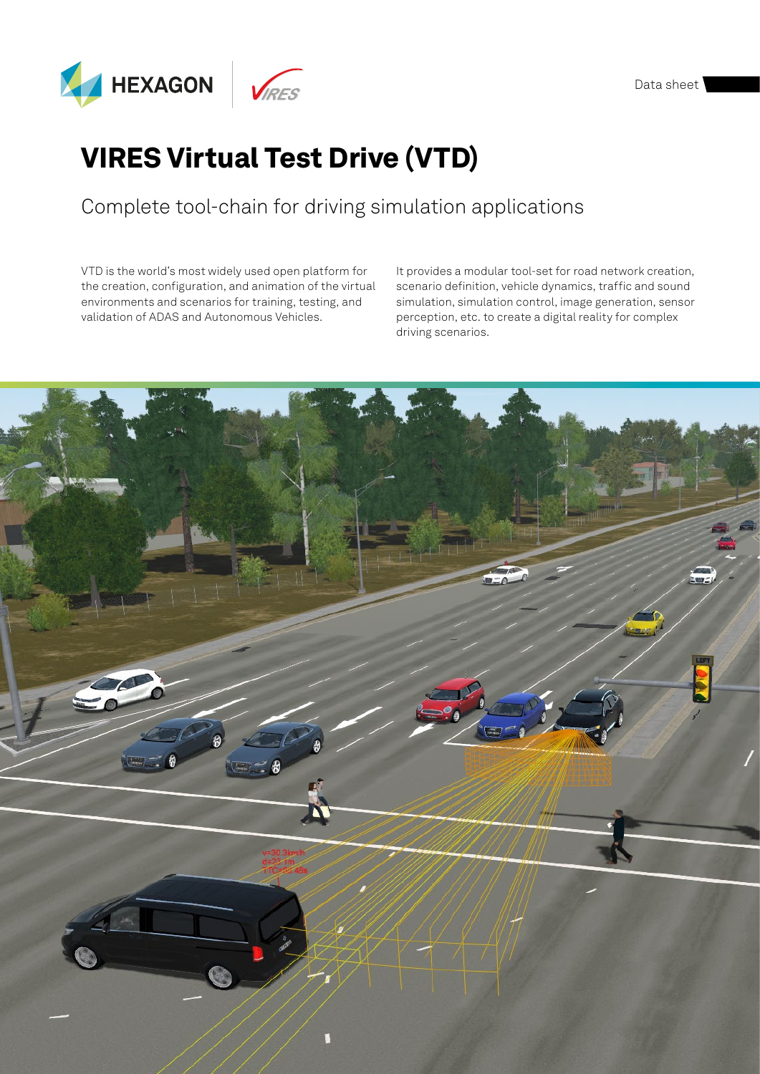

## VIRES Virtual Test Drive (VTD)

## Complete tool-chain for driving simulation applications

VTD is the world's most widely used open platform for the creation, configuration, and animation of the virtual environments and scenarios for training, testing, and validation of ADAS and Autonomous Vehicles.

It provides a modular tool-set for road network creation, scenario definition, vehicle dynamics, traffic and sound simulation, simulation control, image generation, sensor perception, etc. to create a digital reality for complex driving scenarios.

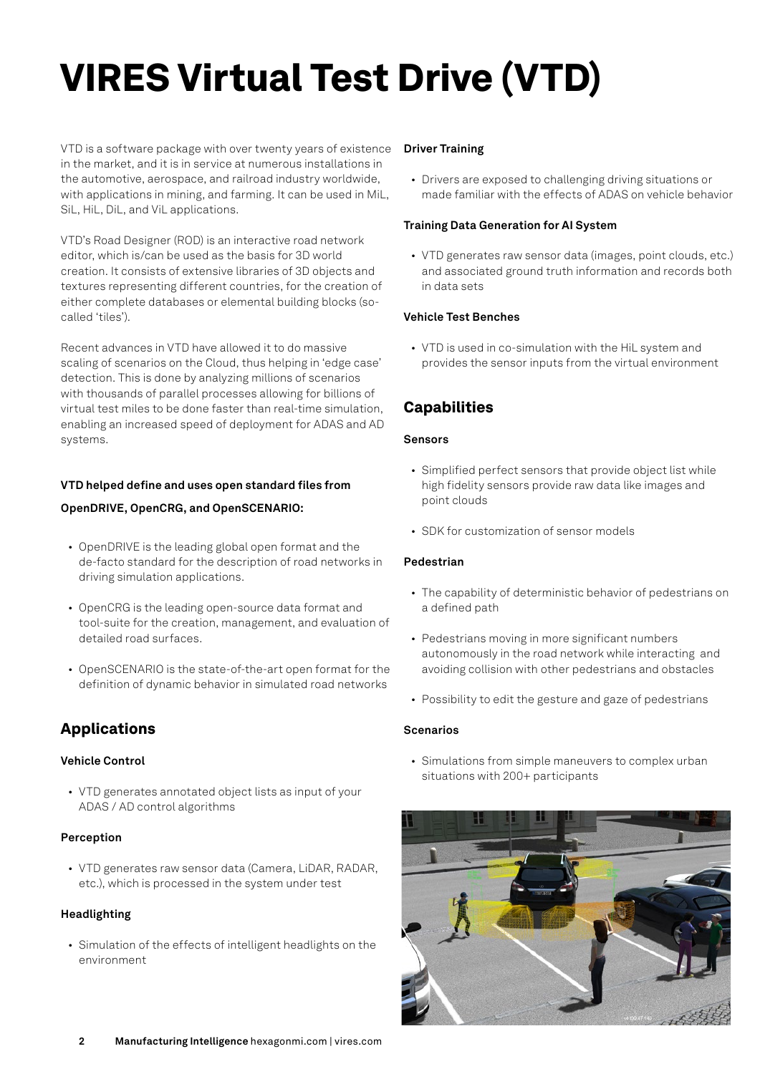# VIRES Virtual Test Drive (VTD)

VTD is a software package with over twenty years of existence in the market, and it is in service at numerous installations in the automotive, aerospace, and railroad industry worldwide, with applications in mining, and farming. It can be used in MiL, SiL, HiL, DiL, and ViL applications.

VTD's Road Designer (ROD) is an interactive road network editor, which is/can be used as the basis for 3D world creation. It consists of extensive libraries of 3D objects and textures representing different countries, for the creation of either complete databases or elemental building blocks (socalled 'tiles').

Recent advances in VTD have allowed it to do massive scaling of scenarios on the Cloud, thus helping in 'edge case' detection. This is done by analyzing millions of scenarios with thousands of parallel processes allowing for billions of virtual test miles to be done faster than real-time simulation, enabling an increased speed of deployment for ADAS and AD systems.

## **VTD helped define and uses open standard files from**

## **OpenDRIVE, OpenCRG, and OpenSCENARIO:**

- OpenDRIVE is the leading global open format and the de-facto standard for the description of road networks in driving simulation applications.
- OpenCRG is the leading open-source data format and tool-suite for the creation, management, and evaluation of detailed road surfaces.
- OpenSCENARIO is the state-of-the-art open format for the definition of dynamic behavior in simulated road networks

## Applications

## **Vehicle Control**

• VTD generates annotated object lists as input of your ADAS / AD control algorithms

## **Perception**

• VTD generates raw sensor data (Camera, LiDAR, RADAR, etc.), which is processed in the system under test

## **Headlighting**

• Simulation of the effects of intelligent headlights on the environment

## **Driver Training**

• Drivers are exposed to challenging driving situations or made familiar with the effects of ADAS on vehicle behavior

## **Training Data Generation for AI System**

• VTD generates raw sensor data (images, point clouds, etc.) and associated ground truth information and records both in data sets

## **Vehicle Test Benches**

• VTD is used in co-simulation with the HiL system and provides the sensor inputs from the virtual environment

## **Capabilities**

## **Sensors**

- Simplified perfect sensors that provide object list while high fidelity sensors provide raw data like images and point clouds
- SDK for customization of sensor models

## **Pedestrian**

- The capability of deterministic behavior of pedestrians on a defined path
- Pedestrians moving in more significant numbers autonomously in the road network while interacting and avoiding collision with other pedestrians and obstacles
- Possibility to edit the gesture and gaze of pedestrians

## **Scenarios**

• Simulations from simple maneuvers to complex urban situations with 200+ participants

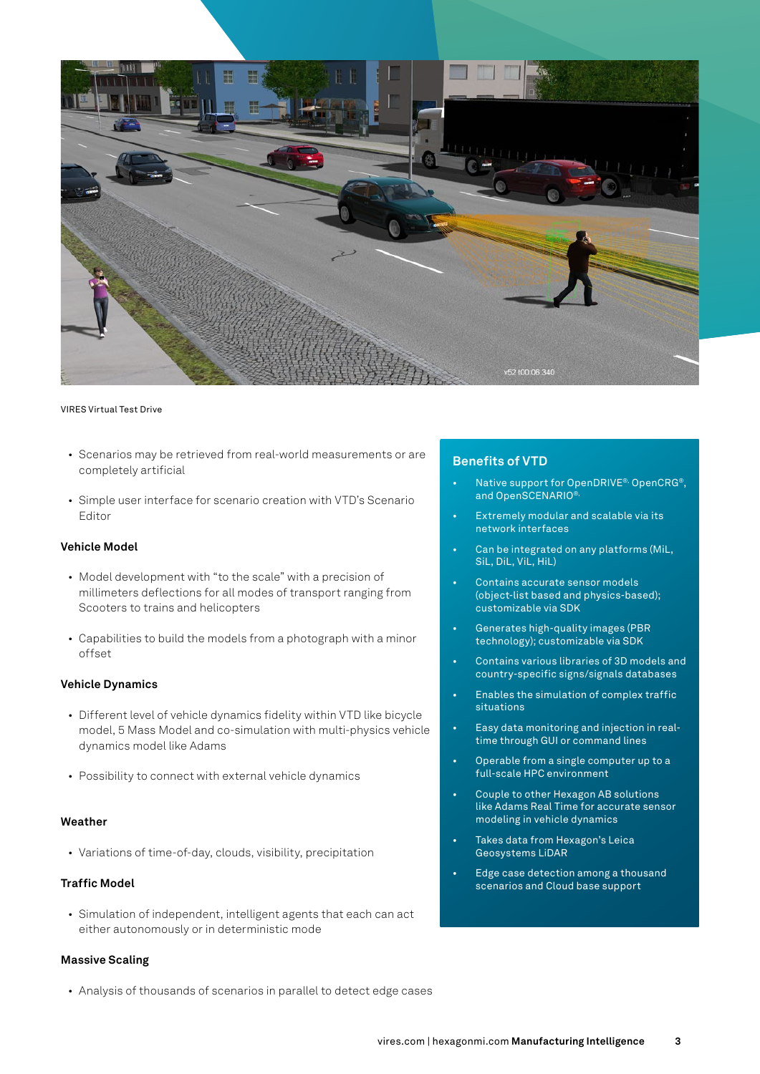

#### VIRES Virtual Test Drive

- Scenarios may be retrieved from real-world measurements or are completely artificial
- Simple user interface for scenario creation with VTD's Scenario Editor

### **Vehicle Model**

- Model development with "to the scale" with a precision of millimeters deflections for all modes of transport ranging from Scooters to trains and helicopters
- Capabilities to build the models from a photograph with a minor offset

## **Vehicle Dynamics**

- Different level of vehicle dynamics fidelity within VTD like bicycle model, 5 Mass Model and co-simulation with multi-physics vehicle dynamics model like Adams
- Possibility to connect with external vehicle dynamics

## **Weather**

• Variations of time-of-day, clouds, visibility, precipitation

#### **Traffic Model**

• Simulation of independent, intelligent agents that each can act either autonomously or in deterministic mode

## **Massive Scaling**

• Analysis of thousands of scenarios in parallel to detect edge cases

#### **Benefits of VTD**

- Native support for OpenDRIVE®, OpenCRG®, and OpenSCENARIO<sup>®</sup>
- Extremely modular and scalable via its network interfaces
- Can be integrated on any platforms (MiL, SiL, DiL, ViL, HiL)
- Contains accurate sensor models (object-list based and physics-based); customizable via SDK
- Generates high-quality images (PBR technology); customizable via SDK
- Contains various libraries of 3D models and country-specific signs/signals databases
- Enables the simulation of complex traffic situations
- Easy data monitoring and injection in realtime through GUI or command lines
- Operable from a single computer up to a full-scale HPC environment
- Couple to other Hexagon AB solutions like Adams Real Time for accurate sensor modeling in vehicle dynamics
- Takes data from Hexagon's Leica Geosystems LiDAR
- Edge case detection among a thousand scenarios and Cloud base support